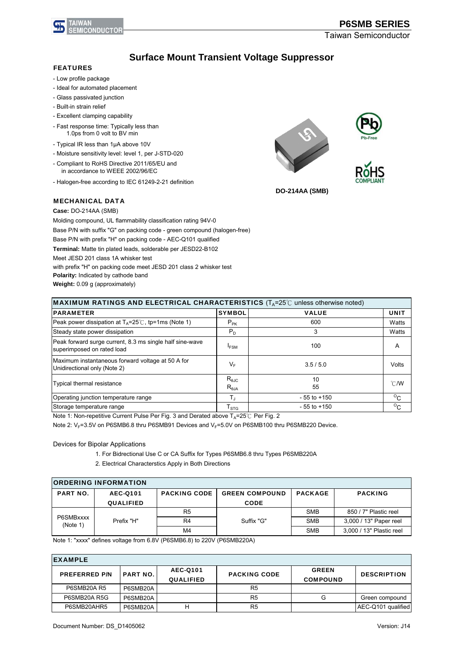

Taiwan Semiconductor

## **Surface Mount Transient Voltage Suppressor**

#### FEATURES

- Low profile package
- Ideal for automated placement
- Glass passivated junction
- Built-in strain relief
- Excellent clamping capability
- Fast response time: Typically less than 1.0ps from 0 volt to BV min
- Typical IR less than 1μA above 10V
- Moisture sensitivity level: level 1, per J-STD-020
- Compliant to RoHS Directive 2011/65/EU and in accordance to WEEE 2002/96/EC
- Halogen-free according to IEC 61249-2-21 definition

#### MECHANICAL DATA







**DO-214AA (SMB)**

**Case:** DO-214AA (SMB)

Molding compound, UL flammability classification rating 94V-0 Base P/N with suffix "G" on packing code - green compound (halogen-free) Base P/N with prefix "H" on packing code - AEC-Q101 qualified **Terminal:** Matte tin plated leads, solderable per JESD22-B102 Meet JESD 201 class 1A whisker test with prefix "H" on packing code meet JESD 201 class 2 whisker test **Polarity:** Indicated by cathode band **Weight:** 0.09 g (approximately)

| <b>MAXIMUM RATINGS AND ELECTRICAL CHARACTERISTICS</b> ( $T_A = 25^\circ$ C unless otherwise noted) |                                    |                 |                |  |  |  |  |
|----------------------------------------------------------------------------------------------------|------------------------------------|-----------------|----------------|--|--|--|--|
| <b>PARAMETER</b>                                                                                   | <b>SYMBOL</b>                      | <b>VALUE</b>    | <b>UNIT</b>    |  |  |  |  |
| Peak power dissipation at $T_A = 25^\circ \text{C}$ , tp=1ms (Note 1)                              | $P_{PK}$                           | 600             | Watts          |  |  |  |  |
| Steady state power dissipation                                                                     | $P_D$                              | 3               | Watts          |  |  |  |  |
| Peak forward surge current, 8.3 ms single half sine-wave<br>superimposed on rated load             | <b>IFSM</b>                        | 100             | A              |  |  |  |  |
| Maximum instantaneous forward voltage at 50 A for<br>Unidirectional only (Note 2)                  | $V_F$                              | 3.5/5.0         | Volts          |  |  |  |  |
| <b>Typical thermal resistance</b>                                                                  | $R_{\theta JC}$<br>$R_{\theta JA}$ | 10<br>55        | $^{\circ}$ C/W |  |  |  |  |
| Operating junction temperature range                                                               | $T_{\rm J}$                        | $-55$ to $+150$ | $\rm ^{o}C$    |  |  |  |  |
| Storage temperature range                                                                          | $\mathsf{T}_{\text{STG}}$          | $-55$ to $+150$ | $\rm{^{O}C}$   |  |  |  |  |

Note 1: Non-repetitive Current Pulse Per Fig. 3 and Derated above  $T_A$ =25°C Per Fig. 2

Note 2:  $V_F$ =3.5V on P6SMB6.8 thru P6SMB91 Devices and  $V_F$ =5.0V on P6SMB100 thru P6SMB220 Device.

Devices for Bipolar Applications

- 1. For Bidrectional Use C or CA Suffix for Types P6SMB6.8 thru Types P6SMB220A
- 2. Electrical Characterstics Apply in Both Directions

| <b>ORDERING INFORMATION</b> |                  |                     |                       |                |                          |  |  |  |
|-----------------------------|------------------|---------------------|-----------------------|----------------|--------------------------|--|--|--|
| <b>PART NO.</b>             | <b>AEC-Q101</b>  | <b>PACKING CODE</b> | <b>GREEN COMPOUND</b> | <b>PACKAGE</b> | <b>PACKING</b>           |  |  |  |
|                             | <b>QUALIFIED</b> |                     | <b>CODE</b>           |                |                          |  |  |  |
|                             |                  | R5                  |                       | <b>SMB</b>     | 850 / 7" Plastic reel    |  |  |  |
| P6SMBxxxx<br>(Note 1)       | Prefix "H"       | R4                  | Suffix "G"            | <b>SMB</b>     | 3,000 / 13" Paper reel   |  |  |  |
|                             |                  | M4                  |                       | <b>SMB</b>     | 3,000 / 13" Plastic reel |  |  |  |

Note 1: "xxxx" defines voltage from 6.8V (P6SMB6.8) to 220V (P6SMB220A)

| <b>IEXAMPLE</b>      |                 |                                     |                     |                                 |                    |  |  |  |
|----------------------|-----------------|-------------------------------------|---------------------|---------------------------------|--------------------|--|--|--|
| <b>PREFERRED P/N</b> | <b>PART NO.</b> | <b>AEC-Q101</b><br><b>QUALIFIED</b> | <b>PACKING CODE</b> | <b>GREEN</b><br><b>COMPOUND</b> | <b>DESCRIPTION</b> |  |  |  |
| P6SMB20A R5          | P6SMB20A        |                                     | R <sub>5</sub>      |                                 |                    |  |  |  |
| P6SMB20A R5G         | P6SMB20A        |                                     | R5                  | G                               | Green compound     |  |  |  |
| P6SMB20AHR5          | P6SMB20A        | н                                   | R5                  |                                 | AEC-Q101 qualified |  |  |  |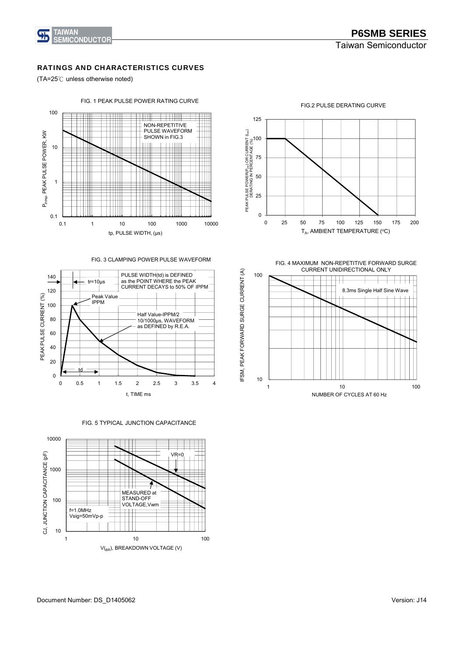

#### RATINGS AND CHARACTERISTICS CURVES

(TA=25℃ unless otherwise noted)



FIG. 3 CLAMPING POWER PULSE WAVEFORM



0 25 50 75 100 125 0 25 50 75 100 125 150 175 200 PEAK PULSE POWER(P<sub>PP</sub>) OR CURRENT (I<sub>PP</sub>) DERATING IN PERCENTAGE (%)  $T_A$ , AMBIENT TEMPERATURE (°C)

FIG.2 PULSE DERATING CURVE

FIG. 4 MAXIMUM NON-REPETITIVE FORWARD SURGE CURRENT UNIDIRECTIONAL ONLY



FIG. 5 TYPICAL JUNCTION CAPACITANCE

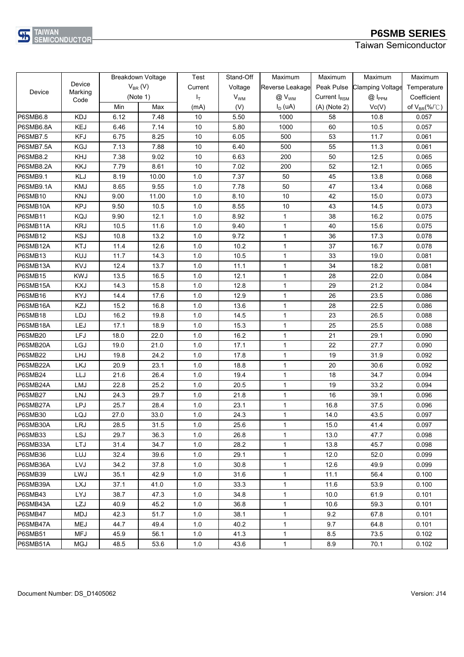

Taiwan Semiconductor

|                 |            |              | Breakdown Voltage | Test    | Stand-Off             | Maximum         | Maximum                  | Maximum                 | Maximum                       |
|-----------------|------------|--------------|-------------------|---------|-----------------------|-----------------|--------------------------|-------------------------|-------------------------------|
|                 | Device     | $V_{BR}$ (V) |                   | Current | Voltage               | Reverse Leakage | Peak Pulse               | <b>Clamping Voltage</b> | Temperature                   |
| Device          | Marking    |              | (Note 1)          | $I_T$   | <b>V<sub>WM</sub></b> | $@V_{WM}$       | Current I <sub>RSM</sub> | $@$ $I_{PPM}$           | Coefficient                   |
|                 | Code       | Min          | Max               | (mA)    | (V)                   | $I_D$ (uA)      | $(A)$ (Note 2)           | Vc(V)                   | of $V_{BR}(\% / \mathcal{C})$ |
| <b>P6SMB6.8</b> | <b>KDJ</b> | 6.12         | 7.48              | 10      | 5.50                  | 1000            | 58                       | 10.8                    | 0.057                         |
| P6SMB6.8A       | <b>KEJ</b> | 6.46         | 7.14              | 10      | 5.80                  | 1000            | 60                       | 10.5                    | 0.057                         |
| <b>P6SMB7.5</b> | <b>KFJ</b> | 6.75         | 8.25              | 10      | 6.05                  | 500             | 53                       | 11.7                    | 0.061                         |
| P6SMB7.5A       | <b>KGJ</b> | 7.13         | 7.88              | 10      | 6.40                  | 500             | 55                       | 11.3                    | 0.061                         |
| <b>P6SMB8.2</b> | KHJ        | 7.38         | 9.02              | 10      | 6.63                  | 200             | 50                       | 12.5                    | 0.065                         |
| P6SMB8.2A       | <b>KKJ</b> | 7.79         | 8.61              | 10      | 7.02                  | 200             | 52                       | 12.1                    | 0.065                         |
| P6SMB9.1        | KLJ        | 8.19         | 10.00             | 1.0     | 7.37                  | 50              | 45                       | 13.8                    | 0.068                         |
| P6SMB9.1A       | <b>KMJ</b> | 8.65         | 9.55              | 1.0     | 7.78                  | 50              | 47                       | 13.4                    | 0.068                         |
| P6SMB10         | <b>KNJ</b> | 9.00         | 11.00             | 1.0     | 8.10                  | 10              | 42                       | 15.0                    | 0.073                         |
| P6SMB10A        | <b>KPJ</b> | 9.50         | 10.5              | 1.0     | 8.55                  | 10              | 43                       | 14.5                    | 0.073                         |
| P6SMB11         | KQJ        | 9.90         | 12.1              | 1.0     | 8.92                  | $\mathbf{1}$    | 38                       | 16.2                    | 0.075                         |
| P6SMB11A        | <b>KRJ</b> | 10.5         | 11.6              | 1.0     | 9.40                  | $\mathbf{1}$    | 40                       | 15.6                    | 0.075                         |
| P6SMB12         | <b>KSJ</b> | 10.8         | 13.2              | 1.0     | 9.72                  | 1               | 36                       | 17.3                    | 0.078                         |
| P6SMB12A        | KTJ        | 11.4         | 12.6              | 1.0     | 10.2                  | $\mathbf{1}$    | 37                       | 16.7                    | 0.078                         |
| P6SMB13         | <b>KUJ</b> | 11.7         | 14.3              | 1.0     | 10.5                  | $\mathbf{1}$    | 33                       | 19.0                    | 0.081                         |
| P6SMB13A        | <b>KVJ</b> | 12.4         | 13.7              | 1.0     | 11.1                  | $\mathbf{1}$    | 34                       | 18.2                    | 0.081                         |
| P6SMB15         | <b>KWJ</b> | 13.5         | 16.5              | 1.0     | 12.1                  | $\mathbf{1}$    | 28                       | 22.0                    | 0.084                         |
| P6SMB15A        | <b>KXJ</b> | 14.3         | 15.8              | 1.0     | 12.8                  | 1               | 29                       | 21.2                    | 0.084                         |
| P6SMB16         | <b>KYJ</b> | 14.4         | 17.6              | 1.0     | 12.9                  | $\mathbf{1}$    | 26                       | 23.5                    | 0.086                         |
| P6SMB16A        | KZJ        | 15.2         | 16.8              | 1.0     | 13.6                  | $\mathbf{1}$    | 28                       | 22.5                    | 0.086                         |
| P6SMB18         | LDJ        | 16.2         | 19.8              | 1.0     | 14.5                  | $\mathbf{1}$    | 23                       | 26.5                    | 0.088                         |
| P6SMB18A        | LEJ        | 17.1         | 18.9              | 1.0     | 15.3                  | $\mathbf{1}$    | 25                       | 25.5                    | 0.088                         |
| P6SMB20         | LFJ        | 18.0         | 22.0              | 1.0     | 16.2                  | $\mathbf{1}$    | 21                       | 29.1                    | 0.090                         |
| P6SMB20A        | LGJ        | 19.0         | 21.0              | 1.0     | 17.1                  | $\mathbf{1}$    | 22                       | 27.7                    | 0.090                         |
| P6SMB22         | LHJ        | 19.8         | 24.2              | 1.0     | 17.8                  | $\mathbf{1}$    | 19                       | 31.9                    | 0.092                         |
| P6SMB22A        | <b>LKJ</b> | 20.9         | 23.1              | 1.0     | 18.8                  | $\mathbf{1}$    | 20                       | 30.6                    | 0.092                         |
| P6SMB24         | LLJ        | 21.6         | 26.4              | 1.0     | 19.4                  | $\mathbf 1$     | 18                       | 34.7                    | 0.094                         |
| P6SMB24A        | LMJ        | 22.8         | 25.2              | 1.0     | 20.5                  | $\mathbf{1}$    | 19                       | 33.2                    | 0.094                         |
| P6SMB27         | <b>LNJ</b> | 24.3         | 29.7              | 1.0     | 21.8                  | $\mathbf{1}$    | 16                       | 39.1                    | 0.096                         |
| P6SMB27A        | LPJ        | 25.7         | 28.4              | 1.0     | 23.1                  | $\mathbf{1}$    | 16.8                     | 37.5                    | 0.096                         |
| P6SMB30         | LQJ        | 27.0         | 33.0              | 1.0     | 24.3                  | $\mathbf{1}$    | 14.0                     | 43.5                    | 0.097                         |
| P6SMB30A        | <b>LRJ</b> | 28.5         | 31.5              | 1.0     | 25.6                  | $\mathbf{1}$    | 15.0                     | 41.4                    | 0.097                         |
| P6SMB33         | <b>LSJ</b> | 29.7         | 36.3              | 1.0     | 26.8                  | $\mathbf{1}$    | 13.0                     | 47.7                    | 0.098                         |
| P6SMB33A        | <b>LTJ</b> | 31.4         | 34.7              | 1.0     | 28.2                  | $\mathbf{1}$    | 13.8                     | 45.7                    | 0.098                         |
| P6SMB36         | LUJ        | 32.4         | 39.6              | 1.0     | 29.1                  | $\mathbf 1$     | 12.0                     | 52.0                    | 0.099                         |
| P6SMB36A        | LVJ        | 34.2         | 37.8              | 1.0     | 30.8                  | $\mathbf{1}$    | 12.6                     | 49.9                    | 0.099                         |
| P6SMB39         | LWJ        | 35.1         | 42.9              | 1.0     | 31.6                  | $\mathbf 1$     | 11.1                     | 56.4                    | 0.100                         |
| P6SMB39A        | <b>LXJ</b> | 37.1         | 41.0              | 1.0     | 33.3                  | $\mathbf{1}$    | 11.6                     | 53.9                    | 0.100                         |
| P6SMB43         | <b>LYJ</b> | 38.7         | 47.3              | 1.0     | 34.8                  | $\mathbf{1}$    | 10.0                     | 61.9                    | 0.101                         |
| P6SMB43A        | <b>LZJ</b> | 40.9         | 45.2              | 1.0     | 36.8                  | $\mathbf{1}$    | 10.6                     | 59.3                    | 0.101                         |
| P6SMB47         | MDJ        | 42.3         | 51.7              | 1.0     | 38.1                  | $\mathbf{1}$    | 9.2                      | 67.8                    | 0.101                         |
| P6SMB47A        | <b>MEJ</b> | 44.7         | 49.4              | 1.0     | 40.2                  | $\mathbf{1}$    | 9.7                      | 64.8                    | 0.101                         |
| <b>P6SMB51</b>  | <b>MFJ</b> | 45.9         | 56.1              | 1.0     | 41.3                  | $\mathbf{1}$    | 8.5                      | 73.5                    | 0.102                         |
| P6SMB51A        | MGJ        | 48.5         | 53.6              | 1.0     | 43.6                  | $\mathbf{1}$    | 8.9                      | 70.1                    | 0.102                         |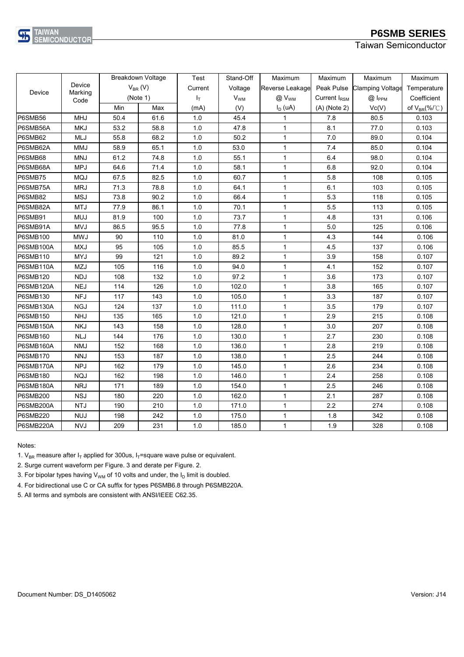

Taiwan Semiconductor

|                 |                 |      | Breakdown Voltage | <b>Test</b> | Stand-Off             | Maximum         | Maximum                  | Maximum                 | Maximum                       |
|-----------------|-----------------|------|-------------------|-------------|-----------------------|-----------------|--------------------------|-------------------------|-------------------------------|
|                 | Device          |      | $V_{BR}$ (V)      | Current     | Voltage               | Reverse Leakage | Peak Pulse               | <b>Clamping Voltage</b> | Temperature                   |
| Device          | Marking<br>Code |      | (Note 1)          | $I_T$       | <b>V<sub>WM</sub></b> | $@V_{WM}$       | Current I <sub>RSM</sub> | $@$ $I_{PPM}$           | Coefficient                   |
|                 |                 | Min  | Max               | (mA)        | (V)                   | $I_D$ (uA)      | $(A)$ (Note 2)           | Vc(V)                   | of $V_{BR}(\% / \mathcal{C})$ |
| P6SMB56         | <b>MHJ</b>      | 50.4 | 61.6              | 1.0         | 45.4                  | 1               | 7.8                      | 80.5                    | 0.103                         |
| P6SMB56A        | <b>MKJ</b>      | 53.2 | 58.8              | 1.0         | 47.8                  | 1               | 8.1                      | 77.0                    | 0.103                         |
| P6SMB62         | MLJ             | 55.8 | 68.2              | 1.0         | 50.2                  | $\mathbf 1$     | 7.0                      | 89.0                    | 0.104                         |
| P6SMB62A        | <b>MMJ</b>      | 58.9 | 65.1              | 1.0         | 53.0                  | 1               | 7.4                      | 85.0                    | 0.104                         |
| P6SMB68         | <b>MNJ</b>      | 61.2 | 74.8              | 1.0         | 55.1                  | 1               | 6.4                      | 98.0                    | 0.104                         |
| P6SMB68A        | <b>MPJ</b>      | 64.6 | 71.4              | 1.0         | 58.1                  | 1               | 6.8                      | 92.0                    | 0.104                         |
| P6SMB75         | <b>MQJ</b>      | 67.5 | 82.5              | 1.0         | 60.7                  | $\mathbf{1}$    | 5.8                      | 108                     | 0.105                         |
| P6SMB75A        | <b>MRJ</b>      | 71.3 | 78.8              | 1.0         | 64.1                  | $\mathbf 1$     | 6.1                      | 103                     | 0.105                         |
| P6SMB82         | <b>MSJ</b>      | 73.8 | 90.2              | 1.0         | 66.4                  | $\mathbf{1}$    | 5.3                      | 118                     | 0.105                         |
| P6SMB82A        | <b>MTJ</b>      | 77.9 | 86.1              | 1.0         | 70.1                  | 1               | 5.5                      | 113                     | 0.105                         |
| P6SMB91         | <b>MUJ</b>      | 81.9 | 100               | 1.0         | 73.7                  | 1               | 4.8                      | 131                     | 0.106                         |
| P6SMB91A        | <b>MVJ</b>      | 86.5 | 95.5              | 1.0         | 77.8                  | 1               | 5.0                      | 125                     | 0.106                         |
| <b>P6SMB100</b> | <b>MWJ</b>      | 90   | 110               | 1.0         | 81.0                  | $\mathbf 1$     | 4.3                      | 144                     | 0.106                         |
| P6SMB100A       | <b>MXJ</b>      | 95   | 105               | 1.0         | 85.5                  | $\mathbf{1}$    | 4.5                      | 137                     | 0.106                         |
| <b>P6SMB110</b> | <b>MYJ</b>      | 99   | 121               | 1.0         | 89.2                  | 1               | 3.9                      | 158                     | 0.107                         |
| P6SMB110A       | MZJ             | 105  | 116               | 1.0         | 94.0                  | 1               | 4.1                      | 152                     | 0.107                         |
| <b>P6SMB120</b> | <b>NDJ</b>      | 108  | 132               | 1.0         | 97.2                  | 1               | 3.6                      | 173                     | 0.107                         |
| P6SMB120A       | <b>NEJ</b>      | 114  | 126               | 1.0         | 102.0                 | 1               | 3.8                      | 165                     | 0.107                         |
| <b>P6SMB130</b> | <b>NFJ</b>      | 117  | 143               | 1.0         | 105.0                 | $\mathbf{1}$    | 3.3                      | 187                     | 0.107                         |
| P6SMB130A       | <b>NGJ</b>      | 124  | 137               | 1.0         | 111.0                 | $\mathbf 1$     | 3.5                      | 179                     | 0.107                         |
| <b>P6SMB150</b> | <b>NHJ</b>      | 135  | 165               | 1.0         | 121.0                 | 1               | 2.9                      | 215                     | 0.108                         |
| P6SMB150A       | <b>NKJ</b>      | 143  | 158               | 1.0         | 128.0                 | 1               | 3.0                      | 207                     | 0.108                         |
| <b>P6SMB160</b> | <b>NLJ</b>      | 144  | 176               | 1.0         | 130.0                 | $\mathbf 1$     | 2.7                      | 230                     | 0.108                         |
| P6SMB160A       | <b>NMJ</b>      | 152  | 168               | 1.0         | 136.0                 | $\mathbf{1}$    | 2.8                      | 219                     | 0.108                         |
| P6SMB170        | <b>NNJ</b>      | 153  | 187               | 1.0         | 138.0                 | 1               | 2.5                      | 244                     | 0.108                         |
| P6SMB170A       | <b>NPJ</b>      | 162  | 179               | 1.0         | 145.0                 | $\mathbf{1}$    | 2.6                      | 234                     | 0.108                         |
| <b>P6SMB180</b> | <b>NQJ</b>      | 162  | 198               | 1.0         | 146.0                 | 1               | 2.4                      | 258                     | 0.108                         |
| P6SMB180A       | <b>NRJ</b>      | 171  | 189               | 1.0         | 154.0                 | $\mathbf{1}$    | 2.5                      | 246                     | 0.108                         |
| <b>P6SMB200</b> | <b>NSJ</b>      | 180  | 220               | 1.0         | 162.0                 | 1               | 2.1                      | 287                     | 0.108                         |
| P6SMB200A       | <b>NTJ</b>      | 190  | 210               | 1.0         | 171.0                 | 1               | 2.2                      | 274                     | 0.108                         |
| <b>P6SMB220</b> | <b>NUJ</b>      | 198  | 242               | 1.0         | 175.0                 | 1               | 1.8                      | 342                     | 0.108                         |
| P6SMB220A       | <b>NVJ</b>      | 209  | 231               | 1.0         | 185.0                 | 1               | 1.9                      | 328                     | 0.108                         |

#### Notes:

1.  $V_{BR}$  measure after  $I_T$  applied for 300us,  $I_T$ =square wave pulse or equivalent.

2. Surge current waveform per Figure. 3 and derate per Figure. 2.

3. For bipolar types having  $V_{WM}$  of 10 volts and under, the  $I_D$  limit is doubled.

4. For bidirectional use C or CA suffix for types P6SMB6.8 through P6SMB220A.

5. All terms and symbols are consistent with ANSI/IEEE C62.35.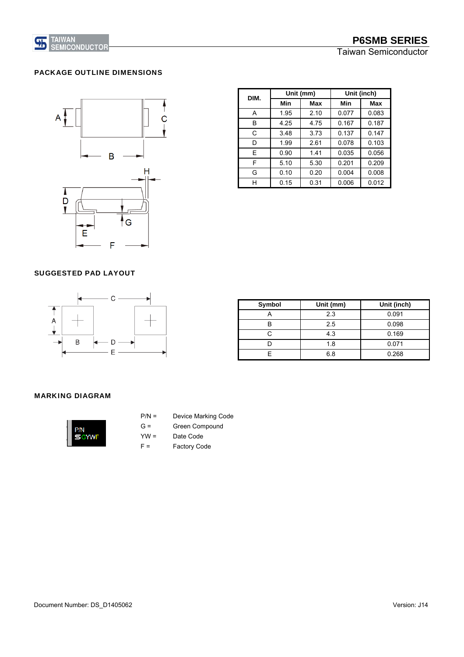

#### PACKAGE OUTLINE DIMENSIONS



| DIM. |      | Unit (mm) | Unit (inch) |       |  |
|------|------|-----------|-------------|-------|--|
|      | Min  | Max       | Min         | Max   |  |
| A    | 1.95 | 2.10      | 0.077       | 0.083 |  |
| в    | 4.25 | 4.75      | 0.167       | 0.187 |  |
| C    | 3.48 | 3.73      | 0.137       | 0.147 |  |
| D    | 1.99 | 2.61      | 0.078       | 0.103 |  |
| E    | 0.90 | 1.41      | 0.035       | 0.056 |  |
| F    | 5.10 | 5.30      | 0.201       | 0.209 |  |
| G    | 0.10 | 0.20      | 0.004       | 0.008 |  |
| н    | 0.15 | 0.31      | 0.006       | 0.012 |  |

#### SUGGESTED PAD LAYOUT



| <b>Symbol</b> | Unit (mm) | Unit (inch) |
|---------------|-----------|-------------|
|               | 2.3       | 0.091       |
| B             | 2.5       | 0.098       |
| C             | 4.3       | 0.169       |
|               | 1.8       | 0.071       |
|               | 6.8       | 0.268       |

#### MARKING DIAGRAM



- P/N = Device Marking Code
- G = Green Compound
- YW = Date Code
- F = Factory Code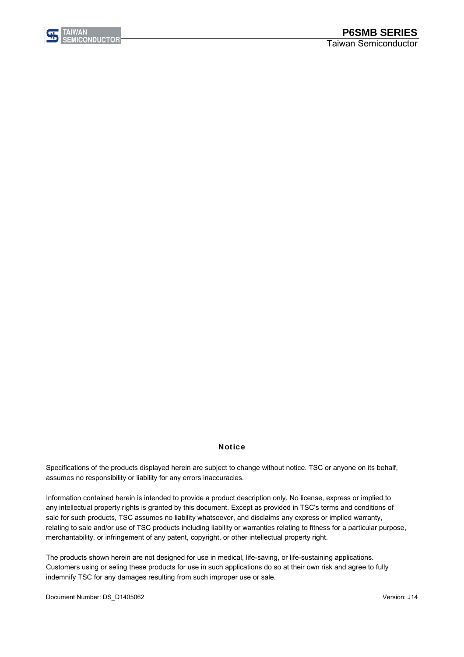

#### **Notice**

assumes no responsibility or liability for any errors inaccuracies. Specifications of the products displayed herein are subject to change without notice. TSC or anyone on its behalf,

Information contained herein is intended to provide a product description only. No license, express or implied,to any intellectual property rights is granted by this document. Except as provided in TSC's terms and conditions of sale for such products, TSC assumes no liability whatsoever, and disclaims any express or implied warranty, relating to sale and/or use of TSC products including liability or warranties relating to fitness for a particular purpose, merchantability, or infringement of any patent, copyright, or other intellectual property right.

The products shown herein are not designed for use in medical, life-saving, or life-sustaining applications. Customers using or seling these products for use in such applications do so at their own risk and agree to fully indemnify TSC for any damages resulting from such improper use or sale.